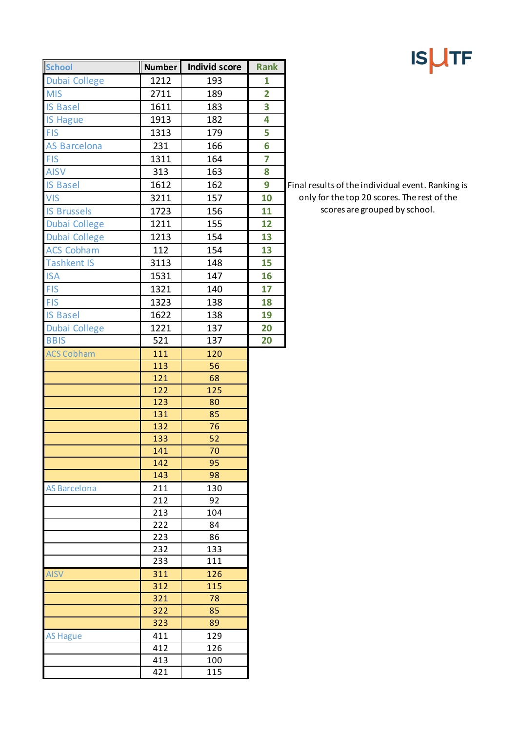| <b>IS</b> | <b>ITF</b> |
|-----------|------------|
|-----------|------------|

Final results of the individual event. Ranking is only for the top 20 scores. The rest of the scores are grouped by school.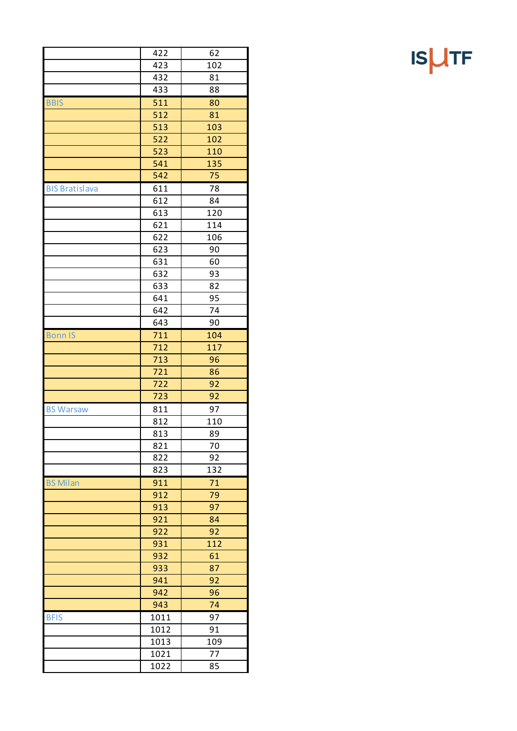|                       | 422        | 62              |
|-----------------------|------------|-----------------|
|                       | 423        | 102             |
|                       | 432        | 81              |
|                       | 433        | 88              |
| <b>BBIS</b>           | 511        | 80              |
|                       | 512        | 81              |
|                       | 513        | 103             |
|                       | 522        | 102             |
|                       | 523        | 110             |
|                       | 541        | 135             |
|                       | 542        | 75              |
| <b>BIS Bratislava</b> | 611        | 78              |
|                       | 612        | 84              |
|                       | 613        | 120             |
|                       | 621        | 114             |
|                       | 622        | 106             |
|                       | 623        | 90              |
|                       | 631        | 60              |
|                       | 632        | 93              |
|                       | 633        | 82              |
|                       | 641        | 95              |
|                       | 642        | 74              |
|                       | 643        | 90              |
| <b>Bonn IS</b>        | 711        | 104             |
|                       | 712        |                 |
|                       | 713        | 117<br>96       |
|                       | 721        | 86              |
|                       |            | 92              |
|                       | 722<br>723 | 92              |
|                       |            | 97              |
| <b>BS Warsaw</b>      | 811        |                 |
|                       | 812<br>813 | 110             |
|                       |            | 89              |
|                       | 821        | 70<br>92        |
|                       | 822        |                 |
|                       | 823        | 132             |
| <b>BS Milan</b>       | 911        | 71              |
|                       | 912        | 79              |
|                       | 913        | 97              |
|                       | 921        | 84              |
|                       | 922        | 92              |
|                       | 931        | 112             |
|                       | 932        | 61              |
|                       | 933        | 87              |
|                       | 941        | 92              |
|                       | 942        | 96              |
|                       | 943        | 74              |
| <b>BFIS</b>           | 1011       | $9\overline{7}$ |
|                       | 1012       | 91              |
|                       | 1013       | 109             |
|                       | 1021       | 77              |
|                       | 1022       | 85              |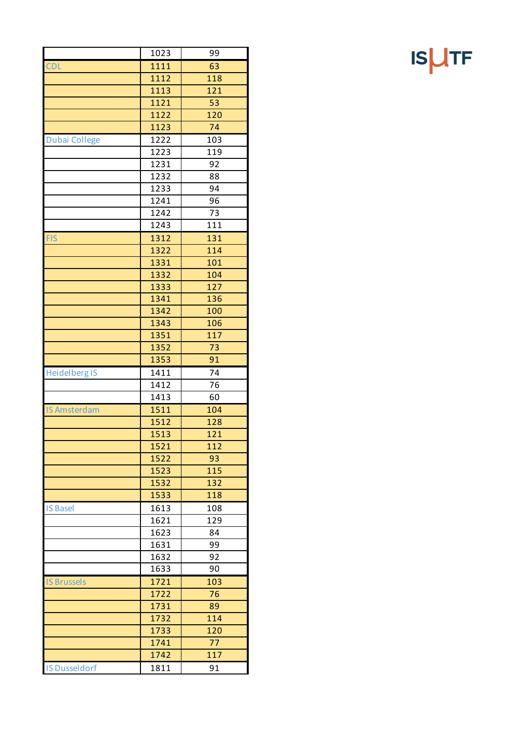|                      | 1023 | 99  |
|----------------------|------|-----|
| <b>CDL</b>           | 1111 | 63  |
|                      | 1112 | 118 |
|                      | 1113 | 121 |
|                      |      |     |
|                      | 1121 | 53  |
|                      | 1122 | 120 |
|                      | 1123 | 74  |
| <b>Dubai College</b> | 1222 | 103 |
|                      | 1223 | 119 |
|                      | 1231 | 92  |
|                      | 1232 | 88  |
|                      | 1233 | 94  |
|                      | 1241 | 96  |
|                      | 1242 | 73  |
|                      | 1243 | 111 |
| <b>FIS</b>           | 1312 | 131 |
|                      | 1322 | 114 |
|                      | 1331 | 101 |
|                      | 1332 | 104 |
|                      | 1333 | 127 |
|                      | 1341 | 136 |
|                      | 1342 | 100 |
|                      | 1343 | 106 |
|                      | 1351 | 117 |
|                      | 1352 | 73  |
|                      | 1353 | 91  |
| <b>Heidelberg IS</b> | 1411 | 74  |
|                      | 1412 | 76  |
|                      | 1413 | 60  |
| <b>IS Amsterdam</b>  | 1511 | 104 |
|                      | 1512 | 128 |
|                      | 1513 | 121 |
|                      | 1521 | 112 |
|                      | 1522 | 93  |
|                      | 1523 | 115 |
|                      | 1532 | 132 |
|                      | 1533 | 118 |
| <b>IS Basel</b>      | 1613 | 108 |
|                      | 1621 | 129 |
|                      | 1623 | 84  |
|                      | 1631 | 99  |
|                      | 1632 | 92  |
|                      | 1633 | 90  |
| <b>IS Brussels</b>   | 1721 | 103 |
|                      | 1722 | 76  |
|                      | 1731 | 89  |
|                      |      |     |
|                      | 1732 | 114 |
|                      | 1733 | 120 |
|                      | 1741 | 77  |
|                      | 1742 | 117 |
| <b>IS Dusseldorf</b> | 1811 | 91  |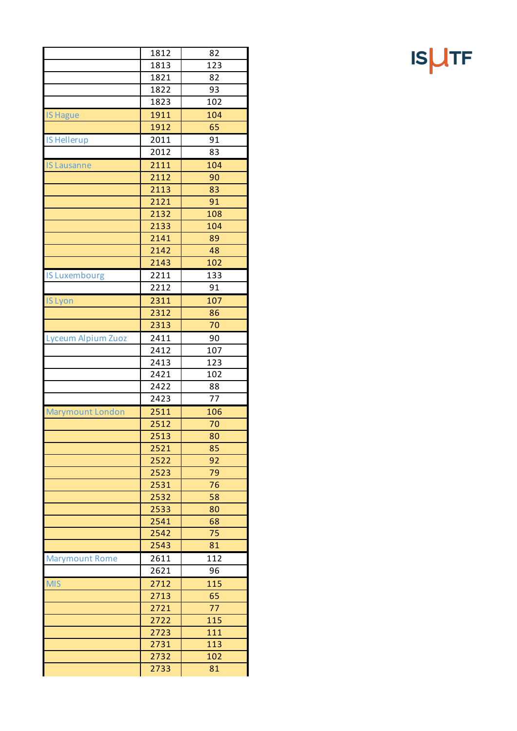|                           | 1812 | 82  |
|---------------------------|------|-----|
|                           | 1813 | 123 |
|                           | 1821 | 82  |
|                           | 1822 | 93  |
|                           | 1823 | 102 |
| <b>IS Hague</b>           | 1911 | 104 |
|                           | 1912 | 65  |
| <b>IS Hellerup</b>        | 2011 | 91  |
|                           | 2012 | 83  |
| <b>IS Lausanne</b>        | 2111 | 104 |
|                           | 2112 | 90  |
|                           | 2113 | 83  |
|                           | 2121 | 91  |
|                           | 2132 | 108 |
|                           | 2133 | 104 |
|                           | 2141 | 89  |
|                           | 2142 | 48  |
|                           | 2143 | 102 |
| <b>IS Luxembourg</b>      | 2211 | 133 |
|                           | 2212 | 91  |
|                           |      |     |
| <b>IS Lyon</b>            | 2311 | 107 |
|                           | 2312 | 86  |
|                           | 2313 | 70  |
| <b>Lyceum Alpium Zuoz</b> | 2411 | 90  |
|                           | 2412 | 107 |
|                           | 2413 | 123 |
|                           | 2421 | 102 |
|                           | 2422 | 88  |
|                           | 2423 | 77  |
| <b>Marymount London</b>   | 2511 | 106 |
|                           | 2512 | 70  |
|                           | 2513 | 80  |
|                           | 2521 | 85  |
|                           | 2522 | 92  |
|                           | 2523 | 79  |
|                           | 2531 | 76  |
|                           | 2532 | 58  |
|                           | 2533 | 80  |
|                           | 2541 | 68  |
|                           | 2542 | 75  |
|                           | 2543 | 81  |
| <b>Marymount Rome</b>     | 2611 | 112 |
|                           | 2621 | 96  |
| <b>MIS</b>                | 2712 | 115 |
|                           | 2713 | 65  |
|                           | 2721 | 77  |
|                           | 2722 | 115 |
|                           | 2723 | 111 |
|                           | 2731 | 113 |
|                           | 2732 | 102 |
|                           | 2733 | 81  |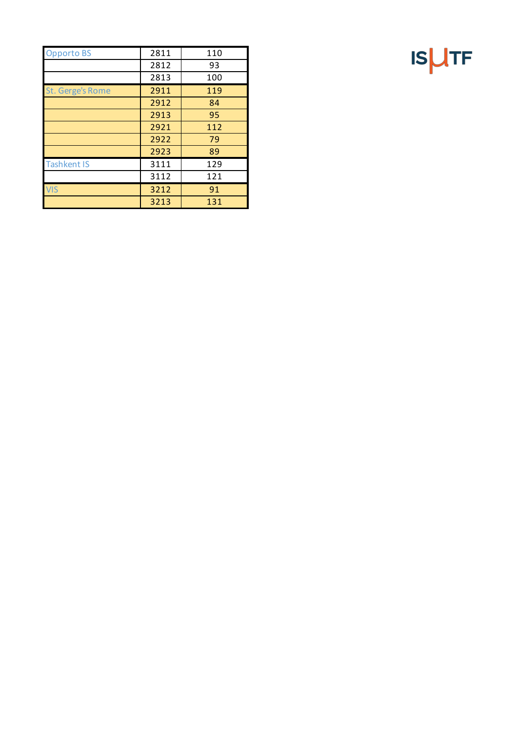| <b>Opporto BS</b>  | 2811 | 110 |
|--------------------|------|-----|
|                    | 2812 | 93  |
|                    | 2813 | 100 |
| St. Gerge's Rome   | 2911 | 119 |
|                    | 2912 | 84  |
|                    | 2913 | 95  |
|                    | 2921 | 112 |
|                    | 2922 | 79  |
|                    | 2923 | 89  |
| <b>Tashkent IS</b> | 3111 | 129 |
|                    | 3112 | 121 |
| <b>VIS</b>         | 3212 | 91  |
|                    | 3213 | 131 |